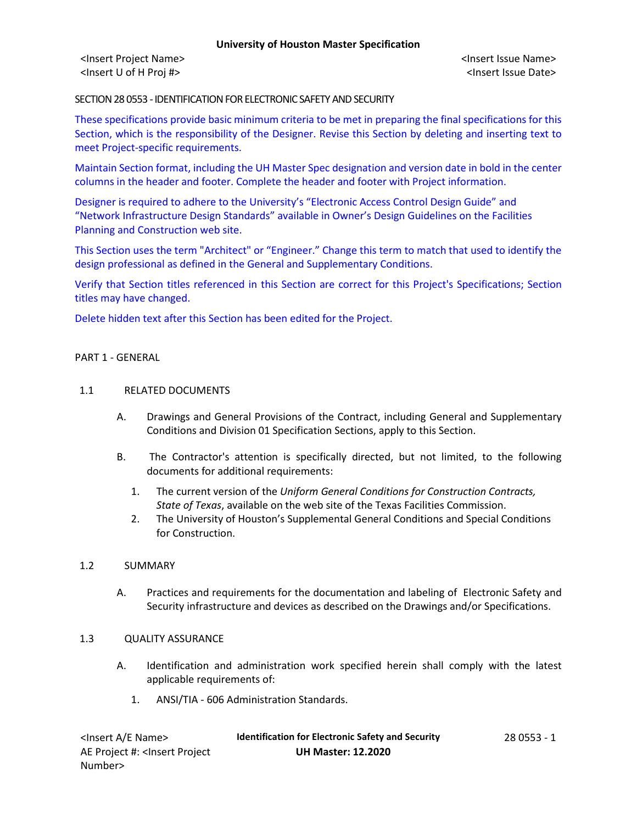<Insert Project Name> <Insert Issue Name> <Insert U of H Proj #> <Insert Issue Date>

SECTION 28 0553 - IDENTIFICATION FOR ELECTRONIC SAFETY AND SECURITY

These specifications provide basic minimum criteria to be met in preparing the final specifications for this Section, which is the responsibility of the Designer. Revise this Section by deleting and inserting text to meet Project-specific requirements.

Maintain Section format, including the UH Master Spec designation and version date in bold in the center columns in the header and footer. Complete the header and footer with Project information.

Designer is required to adhere to the University's "Electronic Access Control Design Guide" and "Network Infrastructure Design Standards" available in Owner's Design Guidelines on the Facilities Planning and Construction web site.

This Section uses the term "Architect" or "Engineer." Change this term to match that used to identify the design professional as defined in the General and Supplementary Conditions.

Verify that Section titles referenced in this Section are correct for this Project's Specifications; Section titles may have changed.

Delete hidden text after this Section has been edited for the Project.

## PART 1 - GENERAL

## 1.1 RELATED DOCUMENTS

- A. Drawings and General Provisions of the Contract, including General and Supplementary Conditions and Division 01 Specification Sections, apply to this Section.
- B. The Contractor's attention is specifically directed, but not limited, to the following documents for additional requirements:
	- 1. The current version of the *Uniform General Conditions for Construction Contracts, State of Texas*, available on the web site of the Texas Facilities Commission.
	- 2. The University of Houston's Supplemental General Conditions and Special Conditions for Construction.

## 1.2 SUMMARY

A. Practices and requirements for the documentation and labeling of Electronic Safety and Security infrastructure and devices as described on the Drawings and/or Specifications.

## 1.3 QUALITY ASSURANCE

- A. Identification and administration work specified herein shall comply with the latest applicable requirements of:
	- 1. ANSI/TIA 606 Administration Standards.

| <lnsert a="" e="" name=""></lnsert>                                                          | <b>Identification for Electronic Safety and Security</b> | 28 0553 - 1 |
|----------------------------------------------------------------------------------------------|----------------------------------------------------------|-------------|
| AE Project #: <lnsert project<="" td=""><td><b>UH Master: 12.2020</b></td><td></td></lnsert> | <b>UH Master: 12.2020</b>                                |             |
| Number>                                                                                      |                                                          |             |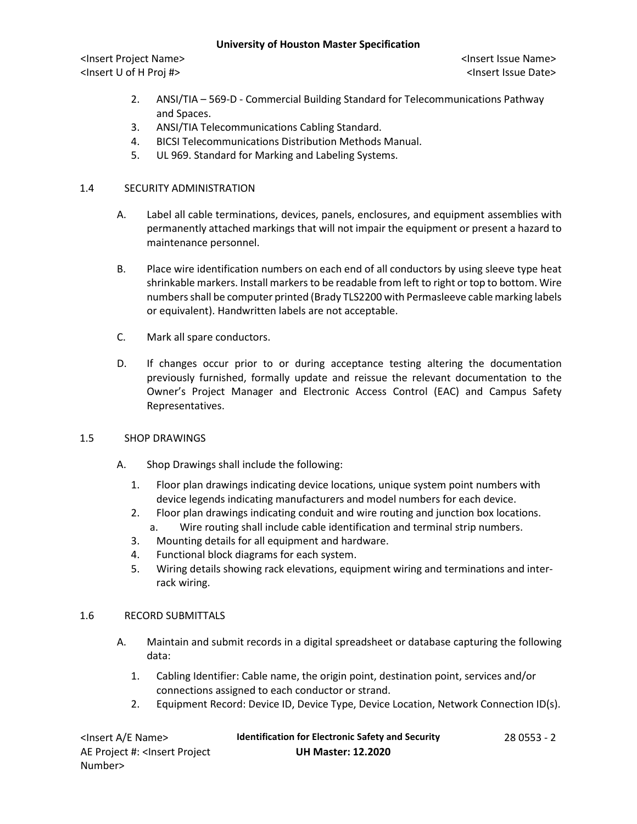# **University of Houston Master Specification**

<Insert Project Name> <Insert Issue Name> <Insert U of H Proj #> <Insert Issue Date>

- 2. ANSI/TIA 569-D Commercial Building Standard for Telecommunications Pathway and Spaces.
- 3. ANSI/TIA Telecommunications Cabling Standard.
- 4. BICSI Telecommunications Distribution Methods Manual.
- 5. UL 969. Standard for Marking and Labeling Systems.

# 1.4 SECURITY ADMINISTRATION

- A. Label all cable terminations, devices, panels, enclosures, and equipment assemblies with permanently attached markings that will not impair the equipment or present a hazard to maintenance personnel.
- B. Place wire identification numbers on each end of all conductors by using sleeve type heat shrinkable markers. Install markers to be readable from left to right or top to bottom. Wire numbers shall be computer printed (Brady TLS2200 with Permasleeve cable marking labels or equivalent). Handwritten labels are not acceptable.
- C. Mark all spare conductors.
- D. If changes occur prior to or during acceptance testing altering the documentation previously furnished, formally update and reissue the relevant documentation to the Owner's Project Manager and Electronic Access Control (EAC) and Campus Safety Representatives.

## 1.5 SHOP DRAWINGS

- A. Shop Drawings shall include the following:
	- 1. Floor plan drawings indicating device locations, unique system point numbers with device legends indicating manufacturers and model numbers for each device.
	- 2. Floor plan drawings indicating conduit and wire routing and junction box locations.
	- a. Wire routing shall include cable identification and terminal strip numbers.
	- 3. Mounting details for all equipment and hardware.
	- 4. Functional block diagrams for each system.
	- 5. Wiring details showing rack elevations, equipment wiring and terminations and interrack wiring.

# 1.6 RECORD SUBMITTALS

- A. Maintain and submit records in a digital spreadsheet or database capturing the following data:
	- 1. Cabling Identifier: Cable name, the origin point, destination point, services and/or connections assigned to each conductor or strand.
	- 2. Equipment Record: Device ID, Device Type, Device Location, Network Connection ID(s).

| <lnsert a="" e="" name=""></lnsert>                                                          | <b>Identification for Electronic Safety and Security</b> | 28 0553 - 2 |
|----------------------------------------------------------------------------------------------|----------------------------------------------------------|-------------|
| AE Project #: <lnsert project<="" td=""><td><b>UH Master: 12.2020</b></td><td></td></lnsert> | <b>UH Master: 12.2020</b>                                |             |
| Number>                                                                                      |                                                          |             |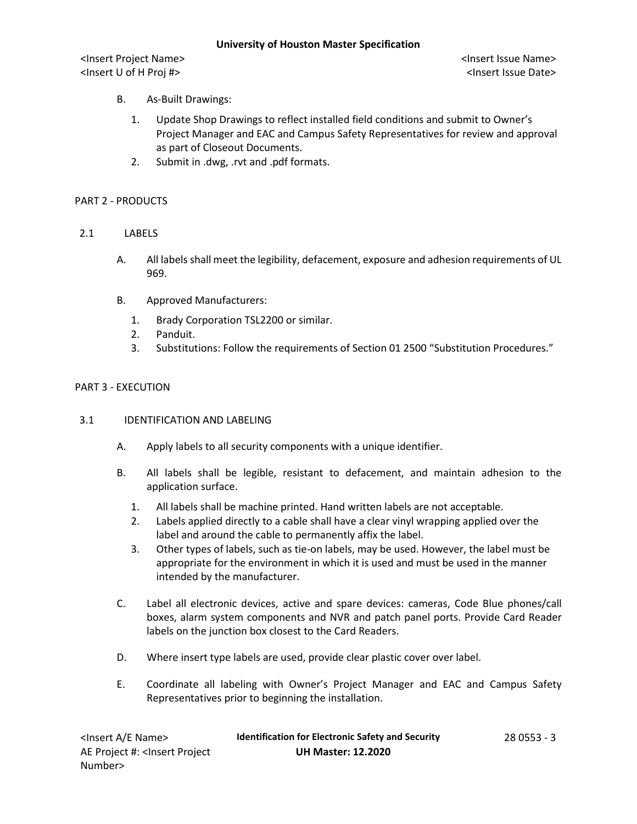<Insert Project Name> <Insert Issue Name> <Insert U of H Proj #> <Insert Issue Date>

- B. As-Built Drawings:
	- 1. Update Shop Drawings to reflect installed field conditions and submit to Owner's Project Manager and EAC and Campus Safety Representatives for review and approval as part of Closeout Documents.
	- 2. Submit in .dwg, .rvt and .pdf formats.

# PART 2 - PRODUCTS

- 2.1 LABELS
	- A. All labels shall meet the legibility, defacement, exposure and adhesion requirements of UL 969.
	- B. Approved Manufacturers:
		- 1. Brady Corporation TSL2200 or similar.
		- 2. Panduit.
		- 3. Substitutions: Follow the requirements of Section 01 2500 "Substitution Procedures."

# PART 3 - EXECUTION

## 3.1 IDENTIFICATION AND LABELING

- A. Apply labels to all security components with a unique identifier.
- B. All labels shall be legible, resistant to defacement, and maintain adhesion to the application surface.
	- 1. All labels shall be machine printed. Hand written labels are not acceptable.
	- 2. Labels applied directly to a cable shall have a clear vinyl wrapping applied over the label and around the cable to permanently affix the label.
	- 3. Other types of labels, such as tie-on labels, may be used. However, the label must be appropriate for the environment in which it is used and must be used in the manner intended by the manufacturer.
- C. Label all electronic devices, active and spare devices: cameras, Code Blue phones/call boxes, alarm system components and NVR and patch panel ports. Provide Card Reader labels on the junction box closest to the Card Readers.
- D. Where insert type labels are used, provide clear plastic cover over label.
- E. Coordinate all labeling with Owner's Project Manager and EAC and Campus Safety Representatives prior to beginning the installation.

| <lnsert a="" e="" name=""></lnsert>                                                          | <b>Identification for Electronic Safety and Security</b> | $280553 - 3$ |
|----------------------------------------------------------------------------------------------|----------------------------------------------------------|--------------|
| AE Project #: <lnsert project<="" td=""><td><b>UH Master: 12.2020</b></td><td></td></lnsert> | <b>UH Master: 12.2020</b>                                |              |
| Number>                                                                                      |                                                          |              |